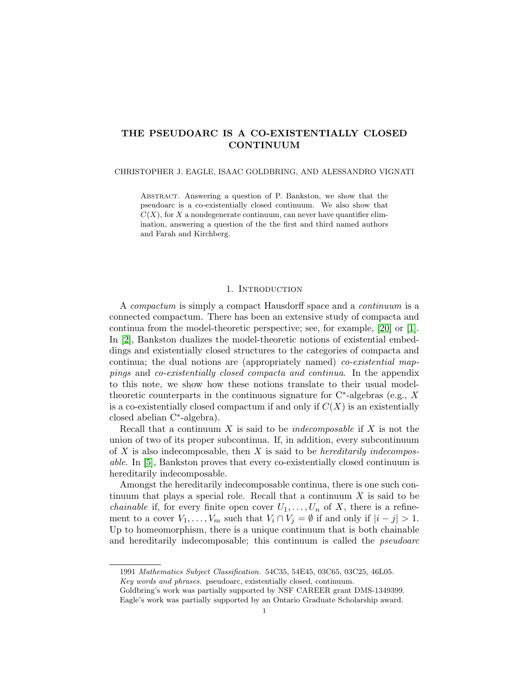# THE PSEUDOARC IS A CO-EXISTENTIALLY CLOSED CONTINUUM

## CHRISTOPHER J. EAGLE, ISAAC GOLDBRING, AND ALESSANDRO VIGNATI

Abstract. Answering a question of P. Bankston, we show that the pseudoarc is a co-existentially closed continuum. We also show that  $C(X)$ , for X a nondegenerate continuum, can never have quantifier elimination, answering a question of the the first and third named authors and Farah and Kirchberg.

### 1. INTRODUCTION

A compactum is simply a compact Hausdorff space and a continuum is a connected compactum. There has been an extensive study of compacta and continua from the model-theoretic perspective; see, for example, [\[20\]](#page-10-0) or [\[1\]](#page-10-1). In [\[2\]](#page-10-2), Bankston dualizes the model-theoretic notions of existential embeddings and existentially closed structures to the categories of compacta and continua; the dual notions are (appropriately named) co-existential mappings and co-existentially closed compacta and continua. In the appendix to this note, we show how these notions translate to their usual modeltheoretic counterparts in the continuous signature for  $C^*$ -algebras (e.g., X is a co-existentially closed compactum if and only if  $C(X)$  is an existentially closed abelian C<sup>∗</sup> -algebra).

Recall that a continuum X is said to be *indecomposable* if X is not the union of two of its proper subcontinua. If, in addition, every subcontinuum of X is also indecomposable, then X is said to be *hereditarily indecompos*able. In [\[5\]](#page-10-3), Bankston proves that every co-existentially closed continuum is hereditarily indecomposable.

Amongst the hereditarily indecomposable continua, there is one such continuum that plays a special role. Recall that a continuum  $X$  is said to be *chainable* if, for every finite open cover  $U_1, \ldots, U_n$  of X, there is a refinement to a cover  $V_1, \ldots, V_m$  such that  $V_i \cap V_j = \emptyset$  if and only if  $|i - j| > 1$ . Up to homeomorphism, there is a unique continuum that is both chainable and hereditarily indecomposable; this continuum is called the pseudoarc

Key words and phrases. pseudoarc, existentially closed, continuum.

<sup>1991</sup> Mathematics Subject Classification. 54C35, 54E45, 03C65, 03C25, 46L05.

Goldbring's work was partially supported by NSF CAREER grant DMS-1349399. Eagle's work was partially supported by an Ontario Graduate Scholarship award.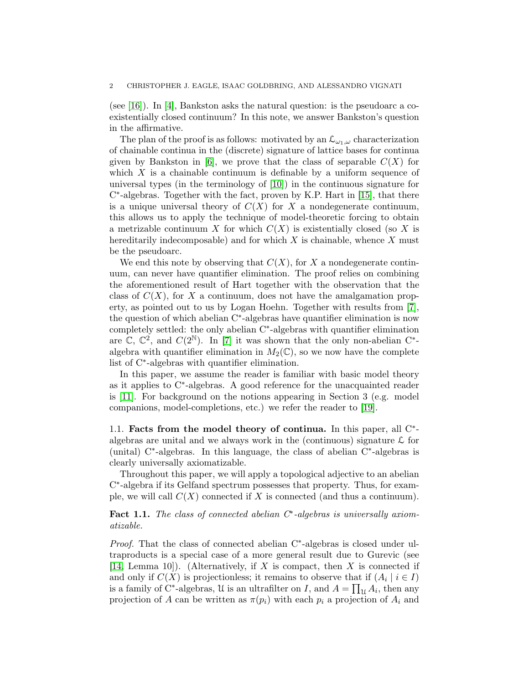(see [\[16\]](#page-10-4)). In [\[4\]](#page-10-5), Bankston asks the natural question: is the pseudoarc a coexistentially closed continuum? In this note, we answer Bankston's question in the affirmative.

The plan of the proof is as follows: motivated by an  $\mathcal{L}_{\omega_1,\omega}$  characterization of chainable continua in the (discrete) signature of lattice bases for continua given by Bankston in [\[6\]](#page-10-6), we prove that the class of separable  $C(X)$  for which  $X$  is a chainable continuum is definable by a uniform sequence of universal types (in the terminology of [\[10\]](#page-10-7)) in the continuous signature for C ∗ -algebras. Together with the fact, proven by K.P. Hart in [\[15\]](#page-10-8), that there is a unique universal theory of  $C(X)$  for X a nondegenerate continuum, this allows us to apply the technique of model-theoretic forcing to obtain a metrizable continuum X for which  $C(X)$  is existentially closed (so X is hereditarily indecomposable) and for which  $X$  is chainable, whence  $X$  must be the pseudoarc.

We end this note by observing that  $C(X)$ , for X a nondegenerate continuum, can never have quantifier elimination. The proof relies on combining the aforementioned result of Hart together with the observation that the class of  $C(X)$ , for X a continuum, does not have the amalgamation property, as pointed out to us by Logan Hoehn. Together with results from [\[7\]](#page-10-9), the question of which abelian C<sup>∗</sup> -algebras have quantifier elimination is now completely settled: the only abelian C<sup>∗</sup> -algebras with quantifier elimination are  $\mathbb{C}, \mathbb{C}^2$ , and  $C(2^{\mathbb{N}})$ . In [\[7\]](#page-10-9) it was shown that the only non-abelian  $\mathbb{C}^*$ algebra with quantifier elimination in  $M_2(\mathbb{C})$ , so we now have the complete list of C<sup>∗</sup> -algebras with quantifier elimination.

In this paper, we assume the reader is familiar with basic model theory as it applies to C<sup>∗</sup> -algebras. A good reference for the unacquainted reader is [\[11\]](#page-10-10). For background on the notions appearing in Section 3 (e.g. model companions, model-completions, etc.) we refer the reader to [\[19\]](#page-10-11).

1.1. Facts from the model theory of continua. In this paper, all  $C^*$ algebras are unital and we always work in the (continuous) signature  $\mathcal L$  for (unital) C<sup>∗</sup> -algebras. In this language, the class of abelian C<sup>∗</sup> -algebras is clearly universally axiomatizable.

Throughout this paper, we will apply a topological adjective to an abelian C ∗ -algebra if its Gelfand spectrum possesses that property. Thus, for example, we will call  $C(X)$  connected if X is connected (and thus a continuum).

Fact 1.1. The class of connected abelian  $C^*$ -algebras is universally axiomatizable.

Proof. That the class of connected abelian C<sup>∗</sup>-algebras is closed under ultraproducts is a special case of a more general result due to Gurevic (see [\[14,](#page-10-12) Lemma 10]). (Alternatively, if X is compact, then X is connected if and only if  $C(X)$  is projectionless; it remains to observe that if  $(A_i | i \in I)$ is a family of C<sup>∗</sup>-algebras, U is an ultrafilter on I, and  $A = \prod_{\mathcal{U}} A_i$ , then any projection of A can be written as  $\pi(p_i)$  with each  $p_i$  a projection of  $A_i$  and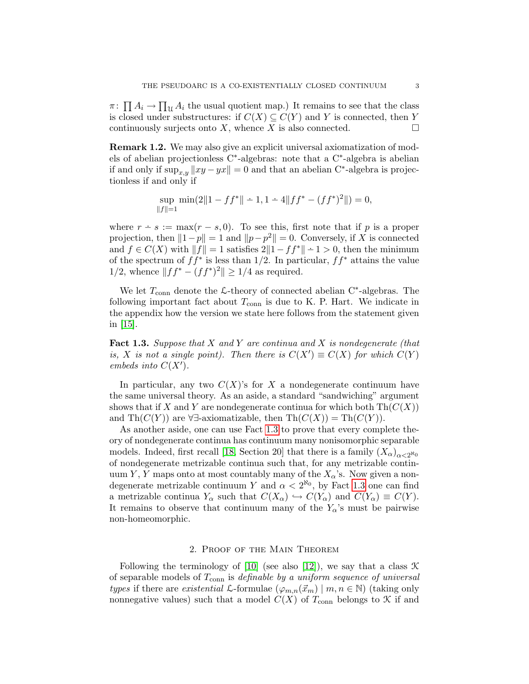$\pi$ :  $\prod A_i \to \prod_{\mathcal{U}} A_i$  the usual quotient map.) It remains to see that the class is closed under substructures: if  $C(X) \subseteq C(Y)$  and Y is connected, then Y continuously surjects onto X, whence X is also connected.  $\Box$ 

Remark 1.2. We may also give an explicit universal axiomatization of models of abelian projectionless C<sup>∗</sup> -algebras: note that a C<sup>∗</sup> -algebra is abelian if and only if  $\sup_{x,y} ||xy - yx|| = 0$  and that an abelian C<sup>\*</sup>-algebra is projectionless if and only if

$$
\sup_{\|f\|=1} \min(2\|1 - ff^*\| - 1, 1 - 4\|ff^* - (ff^*)^2\|) = 0,
$$

where  $r \div s := \max(r - s, 0)$ . To see this, first note that if p is a proper projection, then  $||1-p|| = 1$  and  $||p-p^2|| = 0$ . Conversely, if X is connected and  $f \in C(X)$  with  $||f|| = 1$  satisfies  $2||1 - ff^*|| - 1 > 0$ , then the minimum of the spectrum of  $ff^*$  is less than 1/2. In particular,  $ff^*$  attains the value 1/2, whence  $||ff^* - (ff^*)^2|| \ge 1/4$  as required.

We let  $T_{\text{conn}}$  denote the  $\mathcal{L}\text{-theory}$  of connected abelian C<sup>\*</sup>-algebras. The following important fact about  $T_{\text{conn}}$  is due to K. P. Hart. We indicate in the appendix how the version we state here follows from the statement given in [\[15\]](#page-10-8).

<span id="page-2-0"></span>**Fact 1.3.** Suppose that X and Y are continua and X is nondegenerate (that is, X is not a single point). Then there is  $C(X') \equiv C(X)$  for which  $C(Y)$ embeds into  $C(X')$ .

In particular, any two  $C(X)$ 's for X a nondegenerate continuum have the same universal theory. As an aside, a standard "sandwiching" argument shows that if X and Y are nondegenerate continua for which both  $Th(C(X))$ and Th $(C(Y))$  are ∀∃-axiomatizable, then Th $(C(X)) = Th(C(Y))$ .

As another aside, one can use Fact [1.3](#page-2-0) to prove that every complete theory of nondegenerate continua has continuum many nonisomorphic separable models. Indeed, first recall [\[18,](#page-10-13) Section 20] that there is a family  $(X_{\alpha})_{\alpha < 2^{\aleph_0}}$ of nondegenerate metrizable continua such that, for any metrizable continuum Y, Y maps onto at most countably many of the  $X_{\alpha}$ 's. Now given a nondegenerate metrizable continuum Y and  $\alpha < 2^{\aleph_0}$ , by Fact [1.3](#page-2-0) one can find a metrizable continua  $Y_{\alpha}$  such that  $C(X_{\alpha}) \hookrightarrow C(Y_{\alpha})$  and  $C(Y_{\alpha}) \equiv C(Y)$ . It remains to observe that continuum many of the  $Y_\alpha$ 's must be pairwise non-homeomorphic.

### 2. Proof of the Main Theorem

Following the terminology of [\[10\]](#page-10-7) (see also [\[12\]](#page-10-14)), we say that a class  $\mathcal K$ of separable models of  $T_{conn}$  is *definable by a uniform sequence of universal* types if there are existential L-formulae  $(\varphi_{m,n}(\vec{x}_m) \mid m, n \in \mathbb{N})$  (taking only nonnegative values) such that a model  $C(X)$  of  $T_{conn}$  belongs to  $\mathcal K$  if and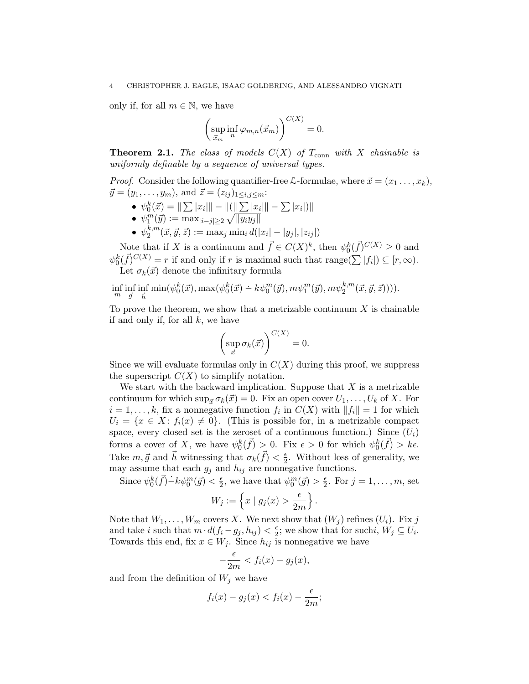### 4 CHRISTOPHER J. EAGLE, ISAAC GOLDBRING, AND ALESSANDRO VIGNATI

only if, for all  $m \in \mathbb{N}$ , we have

$$
\left(\sup_{\vec{x}_m} \inf_n \varphi_{m,n}(\vec{x}_m)\right)^{C(X)} = 0.
$$

**Theorem 2.1.** The class of models  $C(X)$  of  $T_{conn}$  with X chainable is uniformly definable by a sequence of universal types.

*Proof.* Consider the following quantifier-free  $\mathcal{L}$ -formulae, where  $\vec{x} = (x_1 \dots, x_k)$ ,  $\vec{y} = (y_1, \ldots, y_m)$ , and  $\vec{z} = (z_{ij})_{1 \le i, j \le m}$ :

- $\psi_0^k(\vec{x}) = ||\sum |x_i|| ||(||\sum |x_i||| \sum |x_i|)||$
- $\psi_1^m(\vec{y}) := \max_{|i-j| \geq 2} \sqrt{\|y_i y_j\|}$
- $\bullet$   $\psi_2^{k,m}$  $\mathbb{Z}_2^{k,m}(\vec{x},\vec{y},\vec{z}) := \max_j \min_i d(|x_i|-|y_j|,|z_{ij}|)$

Note that if X is a continuum and  $\vec{f} \in C(X)^k$ , then  $\psi_0^k(\vec{f})^{C(X)} \geq 0$  and  $\psi_0^k(\vec{f})^{C(X)} = r$  if and only if r is maximal such that range $(\sum |f_i|) \subseteq [r, \infty)$ . Let  $\sigma_k(\vec{x})$  denote the infinitary formula

$$
\inf_{m}\inf_{\vec{g}}\inf_{\vec{h}}\min(\psi^k_0(\vec{x}),\max(\psi^k_0(\vec{x})-k\psi^m_0(\vec{y}),m\psi^m_1(\vec{y}),m\psi^{k,m}_2(\vec{x},\vec{y},\vec{z}))))
$$

To prove the theorem, we show that a metrizable continuum  $X$  is chainable if and only if, for all  $k$ , we have

$$
\left(\sup_{\vec{x}} \sigma_k(\vec{x})\right)^{C(X)} = 0.
$$

Since we will evaluate formulas only in  $C(X)$  during this proof, we suppress the superscript  $C(X)$  to simplify notation.

We start with the backward implication. Suppose that  $X$  is a metrizable continuum for which  $\sup_{\vec{x}} \sigma_k(\vec{x}) = 0$ . Fix an open cover  $U_1, \ldots, U_k$  of X. For  $i = 1, \ldots, k$ , fix a nonnegative function  $f_i$  in  $C(X)$  with  $||f_i|| = 1$  for which  $U_i = \{x \in X : f_i(x) \neq 0\}.$  (This is possible for, in a metrizable compact space, every closed set is the zeroset of a continuous function.) Since  $(U_i)$ forms a cover of X, we have  $\psi_0^k(\vec{f}) > 0$ . Fix  $\epsilon > 0$  for which  $\psi_0^k(\vec{f}) > k\epsilon$ . Take  $m, \vec{g}$  and  $\vec{h}$  witnessing that  $\sigma_k(\vec{f}) < \frac{\epsilon}{2}$  $\frac{\epsilon}{2}$ . Without loss of generality, we may assume that each  $g_j$  and  $h_{ij}$  are nonnegative functions.

Since  $\psi_0^k(\vec{f}) - k\psi_0^m(\vec{g}) < \frac{\epsilon}{2}$  $\frac{\epsilon}{2}$ , we have that  $\psi_0^m(\vec{g}) > \frac{\epsilon}{2}$  $\frac{\epsilon}{2}$ . For  $j = 1, \ldots, m$ , set

$$
W_j := \left\{ x \mid g_j(x) > \frac{\epsilon}{2m} \right\}.
$$

Note that  $W_1, \ldots, W_m$  covers X. We next show that  $(W_i)$  refines  $(U_i)$ . Fix j and take i such that  $m \cdot d(f_i - g_j, h_{ij}) < \frac{\epsilon}{2}$  $\frac{\epsilon}{2}$ ; we show that for suchi,  $W_j \subseteq U_i$ . Towards this end, fix  $x \in W_j$ . Since  $h_{ij}$  is nonnegative we have

$$
-\frac{\epsilon}{2m} < f_i(x) - g_j(x),
$$

and from the definition of  $W_j$  we have

$$
f_i(x) - g_j(x) < f_i(x) - \frac{\epsilon}{2m};
$$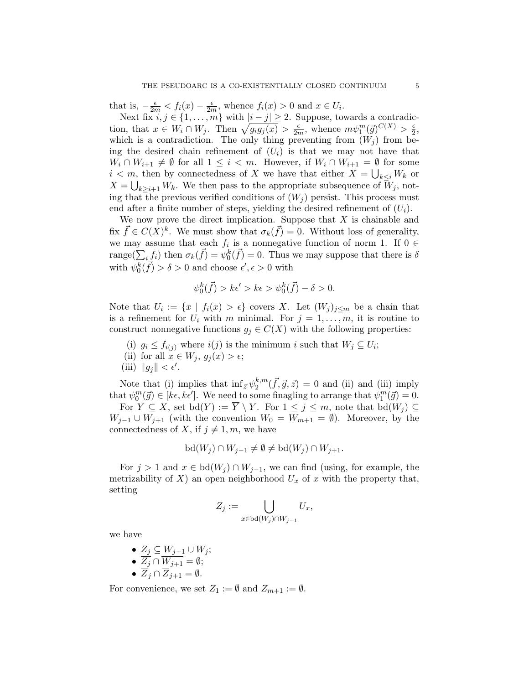that is,  $-\frac{\epsilon}{2m} < f_i(x) - \frac{\epsilon}{2n}$  $\frac{\epsilon}{2m}$ , whence  $f_i(x) > 0$  and  $x \in U_i$ .

Next fix  $i, j \in \{1, \ldots, m\}$  with  $|i - j| \geq 2$ . Suppose, towards a contradiction, that  $x \in W_i \cap W_j$ . Then  $\sqrt{g_i g_j(x)} > \frac{\epsilon}{2r}$  $\frac{\epsilon}{2m}$ , whence  $m\psi_1^m(\vec{g})^{C(X)} > \frac{\epsilon}{2}$  $\frac{\epsilon}{2}$ which is a contradiction. The only thing preventing from  $(W_i)$  from being the desired chain refinement of  $(U_i)$  is that we may not have that  $W_i \cap W_{i+1} \neq \emptyset$  for all  $1 \leq i < m$ . However, if  $W_i \cap W_{i+1} = \emptyset$  for some  $i < m$ , then by connectedness of X we have that either  $X = \bigcup_{k \leq i} W_k$  or  $X = \bigcup_{k \geq i+1} W_k$ . We then pass to the appropriate subsequence of  $W_j$ , noting that the previous verified conditions of  $(W_i)$  persist. This process must end after a finite number of steps, yielding the desired refinement of  $(U_i)$ .

We now prove the direct implication. Suppose that  $X$  is chainable and fix  $\vec{f} \in C(X)^k$ . We must show that  $\sigma_k(\vec{f}) = 0$ . Without loss of generality, we may assume that each  $f_i$  is a nonnegative function of norm 1. If  $0 \in$ range $(\sum_i f_i)$  then  $\sigma_k(\vec{f}) = \psi_0^k(\vec{f}) = 0$ . Thus we may suppose that there is  $\delta$ with  $\psi_0^k(\vec{f}) > \delta > 0$  and choose  $\epsilon', \epsilon > 0$  with

$$
\psi_0^k(\vec{f}) > k\epsilon' > k\epsilon > \psi_0^k(\vec{f}) - \delta > 0.
$$

Note that  $U_i := \{x \mid f_i(x) > \epsilon\}$  covers X. Let  $(W_j)_{j \leq m}$  be a chain that is a refinement for  $U_i$  with m minimal. For  $j = 1, \ldots, m$ , it is routine to construct nonnegative functions  $g_j \in C(X)$  with the following properties:

- (i)  $g_i \leq f_{i(j)}$  where  $i(j)$  is the minimum i such that  $W_j \subseteq U_i$ ;
- (ii) for all  $x \in W_j$ ,  $g_i(x) > \epsilon$ ;
- (iii)  $||g_j|| < \epsilon'$ .

Note that (i) implies that  $\inf_{\vec{z}} \psi_2^{k,m}$  $_{2}^{k,m}(\vec{f},\vec{g},\vec{z}) = 0$  and (ii) and (iii) imply that  $\psi_0^m(\vec{g}) \in [k\epsilon, k\epsilon']$ . We need to some finagling to arrange that  $\psi_1^m(\vec{g}) = 0$ .

For  $Y \subseteq X$ , set  $bd(Y) := \overline{Y} \setminus Y$ . For  $1 \leq j \leq m$ , note that  $bd(W_j) \subseteq$  $W_{j-1} \cup W_{j+1}$  (with the convention  $W_0 = W_{m+1} = \emptyset$ ). Moreover, by the connectedness of X, if  $j \neq 1, m$ , we have

$$
bd(W_j) \cap W_{j-1} \neq \emptyset \neq bd(W_j) \cap W_{j+1}.
$$

For  $j > 1$  and  $x \in bd(W_j) \cap W_{j-1}$ , we can find (using, for example, the metrizability of X) an open neighborhood  $U_x$  of x with the property that, setting

$$
Z_j := \bigcup_{x \in \text{bd}(W_j) \cap W_{j-1}} U_x,
$$

we have

\n- \n
$$
\begin{array}{ll}\n \bullet & \underline{Z_j} \subseteq \underline{W_{j-1}} \cup \underline{W_j}; \\
\bullet & \overline{Z_j} \cap \overline{W_{j+1}} = \emptyset; \\
\bullet & \overline{Z_j} \cap \overline{Z_{j+1}} = \emptyset.\n \end{array}
$$
\n
\n

For convenience, we set  $Z_1 := \emptyset$  and  $Z_{m+1} := \emptyset$ .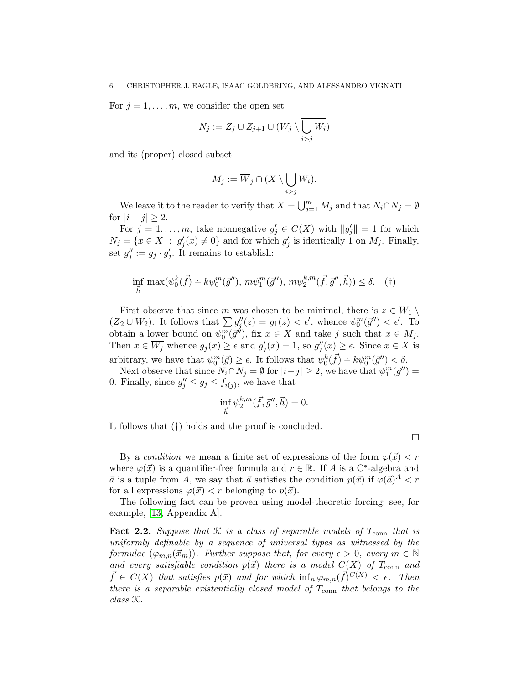For  $j = 1, \ldots, m$ , we consider the open set

$$
N_j := Z_j \cup Z_{j+1} \cup (W_j \setminus \overline{\bigcup_{i>j} W_i})
$$

and its (proper) closed subset

$$
M_j := \overline{W}_j \cap (X \setminus \bigcup_{i > j} W_i).
$$

We leave it to the reader to verify that  $X = \bigcup_{j=1}^{m} M_j$  and that  $N_i \cap N_j = \emptyset$ for  $|i - j| \geq 2$ .

For  $j = 1, \ldots, m$ , take nonnegative  $g'_j \in C(X)$  with  $||g'_j|| = 1$  for which  $N_j = \{x \in X : g'_j(x) \neq 0\}$  and for which  $g'_j$  is identically 1 on  $M_j$ . Finally, set  $g''_j := g_j \cdot g'_j$ . It remains to establish:

$$
\inf_{\vec{h}} \max(\psi_0^k(\vec{f}) - k\psi_0^m(\vec{g}''), m\psi_1^m(\vec{g}''), m\psi_2^{k,m}(\vec{f}, \vec{g}'', \vec{h})) \le \delta. \quad (\dagger)
$$

First observe that since m was chosen to be minimal, there is  $z \in W_1 \setminus$  $(\overline{Z}_2 \cup W_2)$ . It follows that  $\sum g''_j(z) = g_1(z) < \epsilon'$ , whence  $\psi_0^m(\vec{g}'') < \epsilon'$ . To obtain a lower bound on  $\psi_0^m(\vec{g}^{\prime\prime})$ , fix  $x \in X$  and take j such that  $x \in M_j$ . Then  $x \in \overline{W_j}$  whence  $g_j(x) \ge \epsilon$  and  $g'_j(x) = 1$ , so  $g''_j(x) \ge \epsilon$ . Since  $x \in X$  is arbitrary, we have that  $\psi_0^m(\vec{g}) \geq \epsilon$ . It follows that  $\psi_0^k(\vec{f}) \doteq k \psi_0^m(\vec{g}') < \delta$ .

Next observe that since  $N_i \cap N_j = \emptyset$  for  $|i - j| \geq 2$ , we have that  $\psi_1^m(\vec{g}'') =$ 0. Finally, since  $g''_j \leq g_j \leq f_{i(j)}$ , we have that

$$
\inf_{\vec{h}} \psi_2^{k,m}(\vec{f}, \vec{g}'', \vec{h}) = 0.
$$

It follows that (†) holds and the proof is concluded.

 $\Box$ 

By a condition we mean a finite set of expressions of the form  $\varphi(\vec{x}) < r$ where  $\varphi(\vec{x})$  is a quantifier-free formula and  $r \in \mathbb{R}$ . If A is a C<sup>\*</sup>-algebra and  $\vec{a}$  is a tuple from A, we say that  $\vec{a}$  satisfies the condition  $p(\vec{x})$  if  $\varphi(\vec{a})^A < r$ for all expressions  $\varphi(\vec{x}) < r$  belonging to  $p(\vec{x})$ .

The following fact can be proven using model-theoretic forcing; see, for example, [\[13,](#page-10-15) Appendix A].

<span id="page-5-1"></span><span id="page-5-0"></span>Fact 2.2. Suppose that  $K$  is a class of separable models of  $T_{conn}$  that is uniformly definable by a sequence of universal types as witnessed by the formulae  $(\varphi_{m,n}(\vec{x}_m))$ . Further suppose that, for every  $\epsilon > 0$ , every  $m \in \mathbb{N}$ and every satisfiable condition  $p(\vec{x})$  there is a model  $C(X)$  of  $T_{conn}$  and  $\vec{f} \in C(X)$  that satisfies  $p(\vec{x})$  and for which  $\inf_n \varphi_{m,n}(\vec{f})^{C(X)} < \epsilon$ . Then there is a separable existentially closed model of  $T_{conn}$  that belongs to the class K.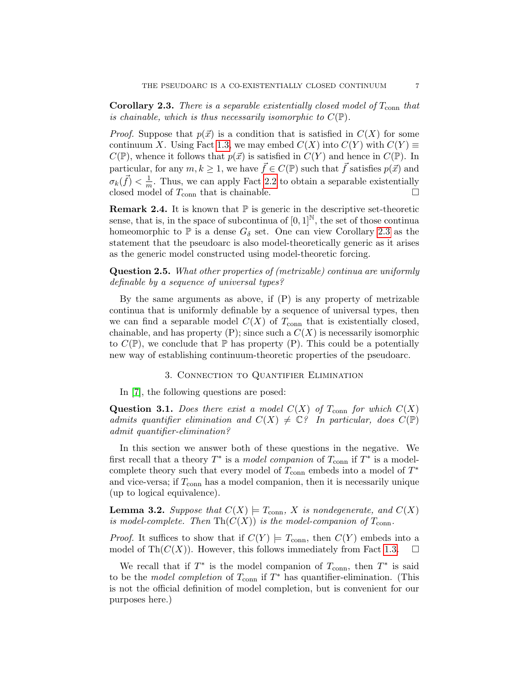**Corollary 2.3.** There is a separable existentially closed model of  $T_{\text{conn}}$  that is chainable, which is thus necessarily isomorphic to  $C(\mathbb{P})$ .

*Proof.* Suppose that  $p(\vec{x})$  is a condition that is satisfied in  $C(X)$  for some continuum X. Using Fact [1.3,](#page-2-0) we may embed  $C(X)$  into  $C(Y)$  with  $C(Y) \equiv$  $C(\mathbb{P})$ , whence it follows that  $p(\vec{x})$  is satisfied in  $C(Y)$  and hence in  $C(\mathbb{P})$ . In particular, for any  $m, k \geq 1$ , we have  $\vec{f} \in C(\mathbb{P})$  such that  $\vec{f}$  satisfies  $p(\vec{x})$  and  $\sigma_k(\vec{f}) < \frac{1}{m}$  $\frac{1}{m}$ . Thus, we can apply Fact [2.2](#page-5-0) to obtain a separable existentially closed model of  $T_{\text{conn}}$  that is chainable.

**Remark 2.4.** It is known that  $\mathbb{P}$  is generic in the descriptive set-theoretic sense, that is, in the space of subcontinua of  $[0, 1]^{\mathbb{N}}$ , the set of those continua homeomorphic to  $\mathbb P$  is a dense  $G_\delta$  set. One can view Corollary [2.3](#page-5-1) as the statement that the pseudoarc is also model-theoretically generic as it arises as the generic model constructed using model-theoretic forcing.

Question 2.5. What other properties of (metrizable) continua are uniformly definable by a sequence of universal types?

By the same arguments as above, if  $(P)$  is any property of metrizable continua that is uniformly definable by a sequence of universal types, then we can find a separable model  $C(X)$  of  $T_{conn}$  that is existentially closed, chainable, and has property  $(P)$ ; since such a  $C(X)$  is necessarily isomorphic to  $C(\mathbb{P})$ , we conclude that  $\mathbb P$  has property (P). This could be a potentially new way of establishing continuum-theoretic properties of the pseudoarc.

### 3. Connection to Quantifier Elimination

In [\[7\]](#page-10-9), the following questions are posed:

**Question 3.1.** Does there exist a model  $C(X)$  of  $T_{conn}$  for which  $C(X)$ admits quantifier elimination and  $C(X) \neq \mathbb{C}$ ? In particular, does  $C(\mathbb{P})$ admit quantifier-elimination?

In this section we answer both of these questions in the negative. We first recall that a theory  $T^*$  is a model companion of  $T_{conn}$  if  $T^*$  is a modelcomplete theory such that every model of  $T_{\text{conn}}$  embeds into a model of  $T^*$ and vice-versa; if  $T_{\text{conn}}$  has a model companion, then it is necessarily unique (up to logical equivalence).

<span id="page-6-0"></span>**Lemma 3.2.** Suppose that  $C(X) \models T_{conn}$ , X is nondegenerate, and  $C(X)$ is model-complete. Then  $\mathrm{Th}(C(X))$  is the model-companion of  $T_{\mathrm{conn}}$ .

*Proof.* It suffices to show that if  $C(Y) \models T_{conn}$ , then  $C(Y)$  embeds into a model of Th $(C(X))$ . However, this follows immediately from Fact [1.3.](#page-2-0)  $\Box$ 

<span id="page-6-1"></span>We recall that if  $T^*$  is the model companion of  $T_{conn}$ , then  $T^*$  is said to be the *model completion* of  $T_{conn}$  if  $T^*$  has quantifier-elimination. (This is not the official definition of model completion, but is convenient for our purposes here.)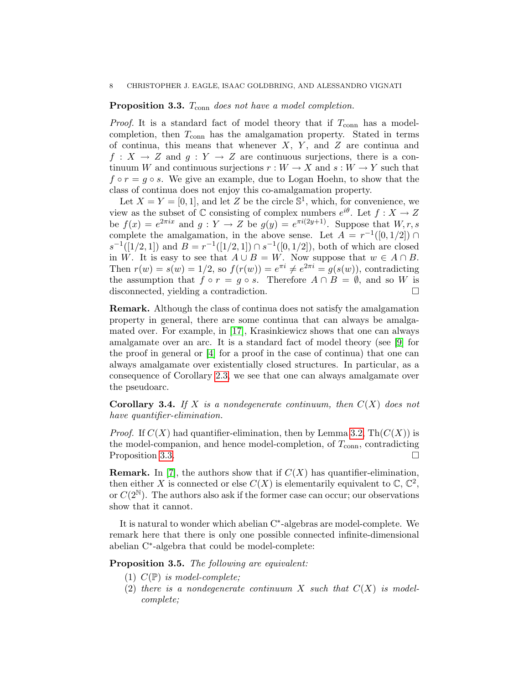# **Proposition 3.3.**  $T_{conn}$  does not have a model completion.

*Proof.* It is a standard fact of model theory that if  $T_{conn}$  has a modelcompletion, then  $T_{\text{conn}}$  has the amalgamation property. Stated in terms of continua, this means that whenever  $X$ ,  $Y$ , and  $Z$  are continua and  $f: X \to Z$  and  $g: Y \to Z$  are continuous surjections, there is a continuum W and continuous surjections  $r: W \to X$  and  $s: W \to Y$  such that  $f \circ r = g \circ s$ . We give an example, due to Logan Hoehn, to show that the class of continua does not enjoy this co-amalgamation property.

Let  $X = Y = [0, 1]$ , and let Z be the circle  $\mathbb{S}^1$ , which, for convenience, we view as the subset of  $\mathbb C$  consisting of complex numbers  $e^{i\theta}$ . Let  $f: X \to Z$ be  $f(x) = e^{2\pi ix}$  and  $g: Y \to Z$  be  $g(y) = e^{\pi i(2y+1)}$ . Suppose that  $W, r, s$ complete the amalgamation, in the above sense. Let  $A = r^{-1}([0, 1/2]) \cap$  $s^{-1}([1/2, 1])$  and  $B = r^{-1}([1/2, 1]) \cap s^{-1}([0, 1/2])$ , both of which are closed in W. It is easy to see that  $A \cup B = W$ . Now suppose that  $w \in A \cap B$ . Then  $r(w) = s(w) = 1/2$ , so  $f(r(w)) = e^{\pi i} \neq e^{2\pi i} = g(s(w))$ , contradicting the assumption that  $f \circ r = g \circ s$ . Therefore  $A \cap B = \emptyset$ , and so W is disconnected, yielding a contradiction.

Remark. Although the class of continua does not satisfy the amalgamation property in general, there are some continua that can always be amalgamated over. For example, in [\[17\]](#page-10-16), Krasinkiewicz shows that one can always amalgamate over an arc. It is a standard fact of model theory (see [\[9\]](#page-10-17) for the proof in general or [\[4\]](#page-10-5) for a proof in the case of continua) that one can always amalgamate over existentially closed structures. In particular, as a consequence of Corollary [2.3,](#page-5-1) we see that one can always amalgamate over the pseudoarc.

**Corollary 3.4.** If X is a nondegenerate continuum, then  $C(X)$  does not have quantifier-elimination.

*Proof.* If  $C(X)$  had quantifier-elimination, then by Lemma [3.2,](#page-6-0)  $\text{Th}(C(X))$  is the model-companion, and hence model-completion, of  $T_{conn}$ , contradicting Proposition [3.3.](#page-6-1)

**Remark.** In [\[7\]](#page-10-9), the authors show that if  $C(X)$  has quantifier-elimination, then either X is connected or else  $C(X)$  is elementarily equivalent to  $\mathbb{C}, \mathbb{C}^2$ , or  $C(2^{\mathbb{N}})$ . The authors also ask if the former case can occur; our observations show that it cannot.

It is natural to wonder which abelian C<sup>∗</sup> -algebras are model-complete. We remark here that there is only one possible connected infinite-dimensional abelian C<sup>∗</sup> -algebra that could be model-complete:

Proposition 3.5. The following are equivalent:

- (1)  $C(\mathbb{P})$  is model-complete;
- (2) there is a nondegenerate continuum X such that  $C(X)$  is modelcomplete;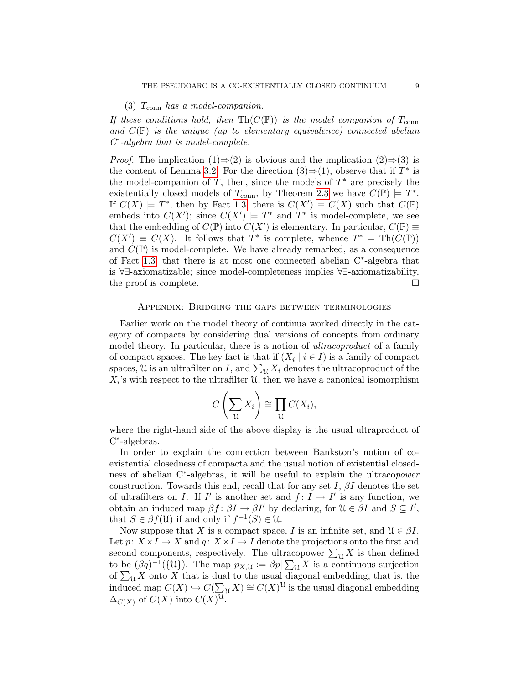### (3)  $T_{\text{conn}}$  has a model-companion.

If these conditions hold, then  $\mathrm{Th}(C(\mathbb{P}))$  is the model companion of  $T_{\mathrm{conn}}$ and  $C(\mathbb{P})$  is the unique (up to elementary equivalence) connected abelian C ∗ -algebra that is model-complete.

*Proof.* The implication  $(1) \Rightarrow (2)$  is obvious and the implication  $(2) \Rightarrow (3)$  is the content of Lemma [3.2.](#page-6-0) For the direction  $(3) \Rightarrow (1)$ , observe that if  $T^*$  is the model-companion of  $T$ , then, since the models of  $T^*$  are precisely the existentially closed models of  $T_{\text{conn}}$ , by Theorem [2.3](#page-5-1) we have  $C(\mathbb{P}) \models T^*$ . If  $C(X) \models T^*$ , then by Fact [1.3,](#page-2-0) there is  $C(X') \equiv C(X)$  such that  $C(\mathbb{P})$ embeds into  $C(X')$ ; since  $C(X') \models T^*$  and  $T^*$  is model-complete, we see that the embedding of  $C(\mathbb{P})$  into  $C(X')$  is elementary. In particular,  $C(\mathbb{P}) \equiv$  $C(X') \equiv C(X)$ . It follows that  $T^*$  is complete, whence  $T^* = \text{Th}(C(\mathbb{P}))$ and  $C(\mathbb{P})$  is model-complete. We have already remarked, as a consequence of Fact [1.3,](#page-2-0) that there is at most one connected abelian C<sup>∗</sup> -algebra that is ∀∃-axiomatizable; since model-completeness implies ∀∃-axiomatizability, the proof is complete.  $\Box$ 

### Appendix: Bridging the gaps between terminologies

Earlier work on the model theory of continua worked directly in the category of compacta by considering dual versions of concepts from ordinary model theory. In particular, there is a notion of *ultracoproduct* of a family of compact spaces. The key fact is that if  $(X_i \mid i \in I)$  is a family of compact spaces, U is an ultrafilter on I, and  $\sum_{\mathcal{U}} X_i$  denotes the ultracoproduct of the  $X_i$ 's with respect to the ultrafilter  $\mathcal{U}$ , then we have a canonical isomorphism

$$
C\left(\sum_{\mathcal{U}} X_i\right) \cong \prod_{\mathcal{U}} C(X_i),
$$

where the right-hand side of the above display is the usual ultraproduct of C ∗ -algebras.

In order to explain the connection between Bankston's notion of coexistential closedness of compacta and the usual notion of existential closedness of abelian C<sup>\*</sup>-algebras, it will be useful to explain the ultracopower construction. Towards this end, recall that for any set I,  $\beta I$  denotes the set of ultrafilters on I. If I' is another set and  $f: I \to I'$  is any function, we obtain an induced map  $\beta f: \beta I \to \beta I'$  by declaring, for  $\mathcal{U} \in \beta I$  and  $S \subseteq I'$ , that  $S \in \beta f(\mathfrak{U})$  if and only if  $f^{-1}(S) \in \mathfrak{U}$ .

Now suppose that X is a compact space, I is an infinite set, and  $\mathcal{U} \in \beta I$ . Let  $p: X \times I \to X$  and  $q: X \times I \to I$  denote the projections onto the first and second components, respectively. The ultracopower  $\sum_{\mathcal{U}} X$  is then defined to be  $(\beta q)^{-1}(\{\mathfrak{U}\})$ . The map  $p_{X,\mathfrak{U}} := \beta p \sum_{\mathfrak{U}} X$  is a continuous surjection of  $\sum_{\mathfrak{U}} X$  onto X that is dual to the usual diagonal embedding, that is, the induced map  $C(X) \hookrightarrow C(\sum_{\mathfrak{U}} X) \cong C(X)^{\mathfrak{U}}$  is the usual diagonal embedding  $\Delta_{C(X)}$  of  $C(X)$  into  $C(X)^{\mathfrak{U}}$ .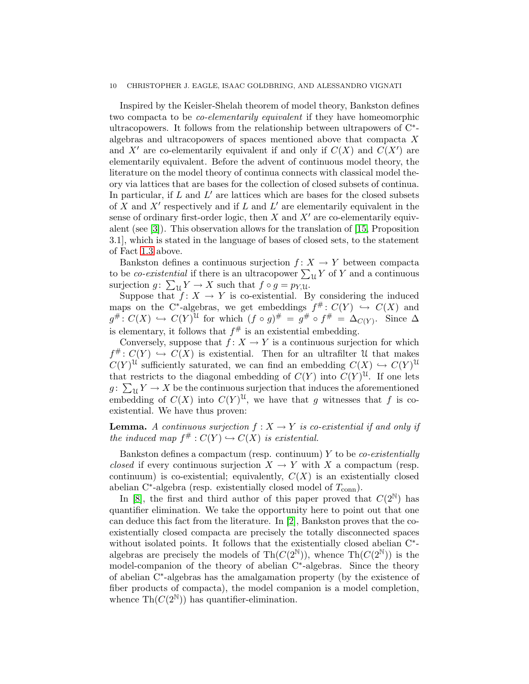#### 10 CHRISTOPHER J. EAGLE, ISAAC GOLDBRING, AND ALESSANDRO VIGNATI

Inspired by the Keisler-Shelah theorem of model theory, Bankston defines two compacta to be co-elementarily equivalent if they have homeomorphic ultracopowers. It follows from the relationship between ultrapowers of C<sup>\*</sup>algebras and ultracopowers of spaces mentioned above that compacta X and X' are co-elementarily equivalent if and only if  $C(X)$  and  $C(X')$  are elementarily equivalent. Before the advent of continuous model theory, the literature on the model theory of continua connects with classical model theory via lattices that are bases for the collection of closed subsets of continua. In particular, if  $L$  and  $L'$  are lattices which are bases for the closed subsets of X and  $X'$  respectively and if L and  $L'$  are elementarily equivalent in the sense of ordinary first-order logic, then  $X$  and  $X'$  are co-elementarily equivalent (see [\[3\]](#page-10-18)). This observation allows for the translation of [\[15,](#page-10-8) Proposition 3.1], which is stated in the language of bases of closed sets, to the statement of Fact [1.3](#page-2-0) above.

Bankston defines a continuous surjection  $f: X \to Y$  between compacta to be *co-existential* if there is an ultracopower  $\sum_{\mathfrak{U}} Y$  of Y and a continuous surjection  $g: \sum_{\mathfrak{U}} Y \to X$  such that  $f \circ g = p_{Y,\mathfrak{U}}$ .

Suppose that  $f: X \to Y$  is co-existential. By considering the induced maps on the C<sup>\*</sup>-algebras, we get embeddings  $f^{\#}: C(Y) \hookrightarrow C(X)$  and  $g^{\#}: C(X) \hookrightarrow C(Y)^{\mathfrak{U}}$  for which  $(f \circ g)^{\#} = g^{\#} \circ f^{\#} = \Delta_{C(Y)}$ . Since  $\Delta$ is elementary, it follows that  $f^{\#}$  is an existential embedding.

Conversely, suppose that  $f: X \to Y$  is a continuous surjection for which  $f^{\#}: C(Y) \hookrightarrow C(X)$  is existential. Then for an ultrafilter U that makes  $C(Y)^{\mathfrak{U}}$  sufficiently saturated, we can find an embedding  $C(X) \hookrightarrow C(Y)^{\mathfrak{U}}$ that restricts to the diagonal embedding of  $C(Y)$  into  $C(Y)^{\mathfrak{U}}$ . If one lets  $g: \sum_{\mathfrak{U}} Y \to X$  be the continuous surjection that induces the aforementioned embedding of  $C(X)$  into  $C(Y)^{\mathcal{U}}$ , we have that g witnesses that f is coexistential. We have thus proven:

**Lemma.** A continuous surjection  $f : X \to Y$  is co-existential if and only if the induced map  $f^{\#}: C(Y) \hookrightarrow C(X)$  is existential.

Bankston defines a compactum (resp. continuum)  $Y$  to be *co-existentially* closed if every continuous surjection  $X \to Y$  with X a compactum (resp. continuum) is co-existential; equivalently,  $C(X)$  is an existentially closed abelian C<sup>\*</sup>-algebra (resp. existentially closed model of  $T_{\text{conn}}$ ).

In [\[8\]](#page-10-19), the first and third author of this paper proved that  $C(2^N)$  has quantifier elimination. We take the opportunity here to point out that one can deduce this fact from the literature. In [\[2\]](#page-10-2), Bankston proves that the coexistentially closed compacta are precisely the totally disconnected spaces without isolated points. It follows that the existentially closed abelian C<sup>\*</sup>algebras are precisely the models of Th $(C(2^{\mathbb{N}}))$ , whence Th $(C(2^{\mathbb{N}}))$  is the model-companion of the theory of abelian C<sup>∗</sup> -algebras. Since the theory of abelian C<sup>∗</sup> -algebras has the amalgamation property (by the existence of fiber products of compacta), the model companion is a model completion, whence  $\text{Th}(C(2^{\mathbb{N}}))$  has quantifier-elimination.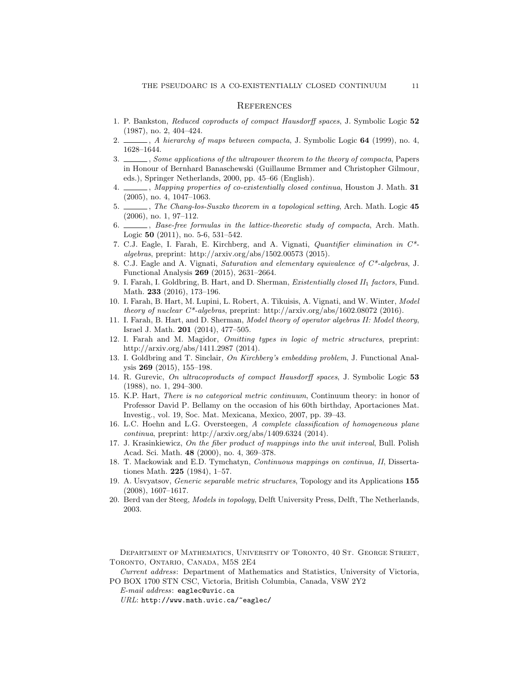#### **REFERENCES**

- <span id="page-10-1"></span>1. P. Bankston, Reduced coproducts of compact Hausdorff spaces, J. Symbolic Logic 52 (1987), no. 2, 404–424.
- <span id="page-10-2"></span>2.  $\ldots$ , A hierarchy of maps between compacta, J. Symbolic Logic 64 (1999), no. 4, 1628–1644.
- <span id="page-10-18"></span>3. Some applications of the ultrapower theorem to the theory of compacta, Papers in Honour of Bernhard Banaschewski (Guillaume Brmmer and Christopher Gilmour, eds.), Springer Netherlands, 2000, pp. 45–66 (English).
- <span id="page-10-5"></span>4. \_\_\_\_, Mapping properties of co-existentially closed continua, Houston J. Math. 31 (2005), no. 4, 1047–1063.
- <span id="page-10-3"></span>5.  $\ldots$ , The Chang-los-Suszko theorem in a topological setting, Arch. Math. Logic 45 (2006), no. 1, 97–112.
- <span id="page-10-6"></span>6.  $\frac{1}{100}$ , Base-free formulas in the lattice-theoretic study of compacta, Arch. Math. Logic 50 (2011), no. 5-6, 531–542.
- <span id="page-10-9"></span>7. C.J. Eagle, I. Farah, E. Kirchberg, and A. Vignati, Quantifier elimination in C\* algebras, preprint: http://arxiv.org/abs/1502.00573 (2015).
- <span id="page-10-19"></span>8. C.J. Eagle and A. Vignati, Saturation and elementary equivalence of C\*-algebras, J. Functional Analysis 269 (2015), 2631–2664.
- <span id="page-10-17"></span>9. I. Farah, I. Goldbring, B. Hart, and D. Sherman, *Existentially closed II*<sub>1</sub> factors, Fund. Math. 233 (2016), 173–196.
- <span id="page-10-7"></span>10. I. Farah, B. Hart, M. Lupini, L. Robert, A. Tikuisis, A. Vignati, and W. Winter, Model theory of nuclear  $C^*$ -algebras, preprint: http://arxiv.org/abs/1602.08072 (2016).
- <span id="page-10-10"></span>11. I. Farah, B. Hart, and D. Sherman, Model theory of operator algebras II: Model theory, Israel J. Math. 201 (2014), 477–505.
- <span id="page-10-14"></span>12. I. Farah and M. Magidor, Omitting types in logic of metric structures, preprint: http://arxiv.org/abs/1411.2987 (2014).
- <span id="page-10-15"></span>13. I. Goldbring and T. Sinclair, On Kirchberg's embedding problem, J. Functional Analysis 269 (2015), 155–198.
- <span id="page-10-12"></span>14. R. Gurevic, On ultracoproducts of compact Hausdorff spaces, J. Symbolic Logic 53 (1988), no. 1, 294–300.
- <span id="page-10-8"></span>15. K.P. Hart, There is no categorical metric continuum, Continuum theory: in honor of Professor David P. Bellamy on the occasion of his 60th birthday, Aportaciones Mat. Investig., vol. 19, Soc. Mat. Mexicana, Mexico, 2007, pp. 39–43.
- <span id="page-10-4"></span>16. L.C. Hoehn and L.G. Oversteegen, A complete classification of homogeneous plane continua, preprint: http://arxiv.org/abs/1409.6324 (2014).
- <span id="page-10-16"></span>17. J. Krasinkiewicz, On the fiber product of mappings into the unit interval, Bull. Polish Acad. Sci. Math. 48 (2000), no. 4, 369–378.
- <span id="page-10-13"></span>18. T. Mackowiak and E.D. Tymchatyn, Continuous mappings on continua, II, Dissertationes Math. 225 (1984), 1–57.
- <span id="page-10-11"></span>19. A. Usvyatsov, Generic separable metric structures, Topology and its Applications 155 (2008), 1607–1617.
- <span id="page-10-0"></span>20. Berd van der Steeg, Models in topology, Delft University Press, Delft, The Netherlands, 2003.

Department of Mathematics, University of Toronto, 40 St. George Street, Toronto, Ontario, Canada, M5S 2E4

Current address: Department of Mathematics and Statistics, University of Victoria, PO BOX 1700 STN CSC, Victoria, British Columbia, Canada, V8W 2Y2

URL: http://www.math.uvic.ca/~eaglec/

E-mail address: eaglec@uvic.ca